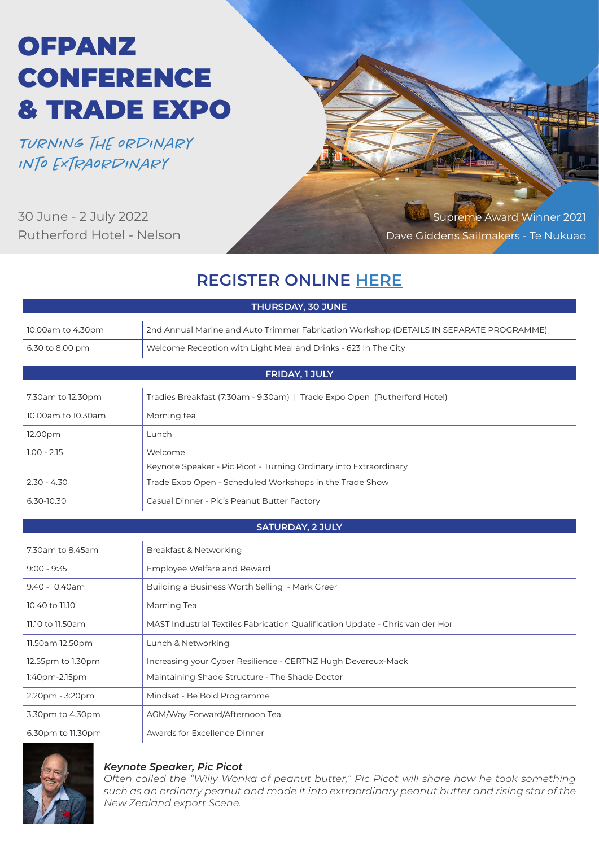# OFPANZ **CONFERENCE** & TRADE EXPO

*Turning the ordinary into extraordinary*

30 June - 2 July 2022 Rutherford Hotel - Nelson

Supreme Award Winner 2021 Dave Giddens Sailmakers - Te Nukuao

# **REGISTER ONLINE HERE**

| THURSDAY, 30 JUNE       |                                                                                         |  |  |  |  |  |
|-------------------------|-----------------------------------------------------------------------------------------|--|--|--|--|--|
| 10.00am to 4.30pm       | 2nd Annual Marine and Auto Trimmer Fabrication Workshop (DETAILS IN SEPARATE PROGRAMME) |  |  |  |  |  |
| 6.30 to 8.00 pm         | Welcome Reception with Light Meal and Drinks - 623 In The City                          |  |  |  |  |  |
| FRIDAY, 1 JULY          |                                                                                         |  |  |  |  |  |
|                         |                                                                                         |  |  |  |  |  |
| 7.30am to 12.30pm       | Tradies Breakfast (7:30am - 9:30am)   Trade Expo Open (Rutherford Hotel)                |  |  |  |  |  |
| 10.00am to 10.30am      | Morning tea                                                                             |  |  |  |  |  |
| 12.00pm                 | Lunch                                                                                   |  |  |  |  |  |
| $1.00 - 2.15$           | Welcome                                                                                 |  |  |  |  |  |
|                         | Keynote Speaker - Pic Picot - Turning Ordinary into Extraordinary                       |  |  |  |  |  |
| $2.30 - 4.30$           | Trade Expo Open - Scheduled Workshops in the Trade Show                                 |  |  |  |  |  |
| 6.30-10.30              | Casual Dinner - Pic's Peanut Butter Factory                                             |  |  |  |  |  |
| <b>SATURDAY, 2 JULY</b> |                                                                                         |  |  |  |  |  |
| 7.30am to 8.45am        | Breakfast & Networking                                                                  |  |  |  |  |  |
| $9:00 - 9:35$           | Employee Welfare and Reward                                                             |  |  |  |  |  |
| 9.40 - 10.40am          | Building a Business Worth Selling - Mark Greer                                          |  |  |  |  |  |
| 10.40 to 11.10          | Morning Tea                                                                             |  |  |  |  |  |
| 11.10 to 11.50am        | MAST Industrial Textiles Fabrication Qualification Update - Chris van der Hor           |  |  |  |  |  |
| 11.50am 12.50pm         | Lunch & Networking                                                                      |  |  |  |  |  |
| 12.55pm to 1.30pm       | Increasing your Cyber Resilience - CERTNZ Hugh Devereux-Mack                            |  |  |  |  |  |
| 1:40pm-2.15pm           | Maintaining Shade Structure - The Shade Doctor                                          |  |  |  |  |  |
| 2.20pm - 3:20pm         | Mindset - Be Bold Programme                                                             |  |  |  |  |  |
| 3.30pm to 4.30pm        | AGM/Way Forward/Afternoon Tea                                                           |  |  |  |  |  |
| 6.30pm to 11.30pm       | Awards for Excellence Dinner                                                            |  |  |  |  |  |



### *Keynote Speaker, Pic Picot*

*Often called the "Willy Wonka of peanut butter," Pic Picot will share how he took something such as an ordinary peanut and made it into extraordinary peanut butter and rising star of the New Zealand export Scene.*